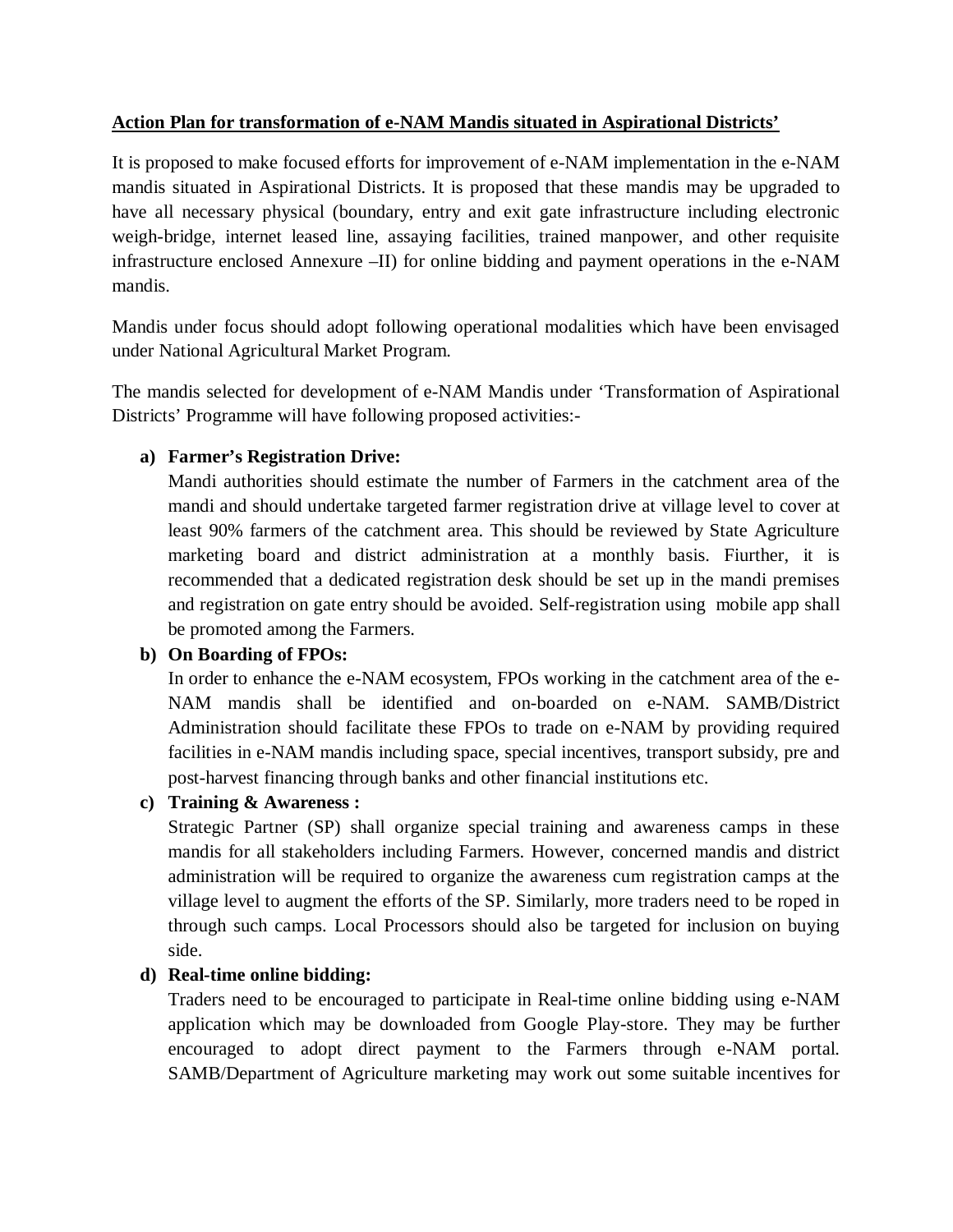#### **Action Plan for transformation of e-NAM Mandis situated in Aspirational Districts'**

It is proposed to make focused efforts for improvement of e-NAM implementation in the e-NAM mandis situated in Aspirational Districts. It is proposed that these mandis may be upgraded to have all necessary physical (boundary, entry and exit gate infrastructure including electronic weigh-bridge, internet leased line, assaying facilities, trained manpower, and other requisite infrastructure enclosed Annexure –II) for online bidding and payment operations in the e-NAM mandis.

Mandis under focus should adopt following operational modalities which have been envisaged under National Agricultural Market Program.

The mandis selected for development of e-NAM Mandis under 'Transformation of Aspirational Districts' Programme will have following proposed activities:-

### **a) Farmer's Registration Drive:**

Mandi authorities should estimate the number of Farmers in the catchment area of the mandi and should undertake targeted farmer registration drive at village level to cover at least 90% farmers of the catchment area. This should be reviewed by State Agriculture marketing board and district administration at a monthly basis. Fiurther, it is recommended that a dedicated registration desk should be set up in the mandi premises and registration on gate entry should be avoided. Self-registration using mobile app shall be promoted among the Farmers.

### **b) On Boarding of FPOs:**

In order to enhance the e-NAM ecosystem, FPOs working in the catchment area of the e-NAM mandis shall be identified and on-boarded on e-NAM. SAMB/District Administration should facilitate these FPOs to trade on e-NAM by providing required facilities in e-NAM mandis including space, special incentives, transport subsidy, pre and post-harvest financing through banks and other financial institutions etc.

**c) Training & Awareness :**

Strategic Partner (SP) shall organize special training and awareness camps in these mandis for all stakeholders including Farmers. However, concerned mandis and district administration will be required to organize the awareness cum registration camps at the village level to augment the efforts of the SP. Similarly, more traders need to be roped in through such camps. Local Processors should also be targeted for inclusion on buying side.

### **d) Real-time online bidding:**

Traders need to be encouraged to participate in Real-time online bidding using e-NAM application which may be downloaded from Google Play-store. They may be further encouraged to adopt direct payment to the Farmers through e-NAM portal. SAMB/Department of Agriculture marketing may work out some suitable incentives for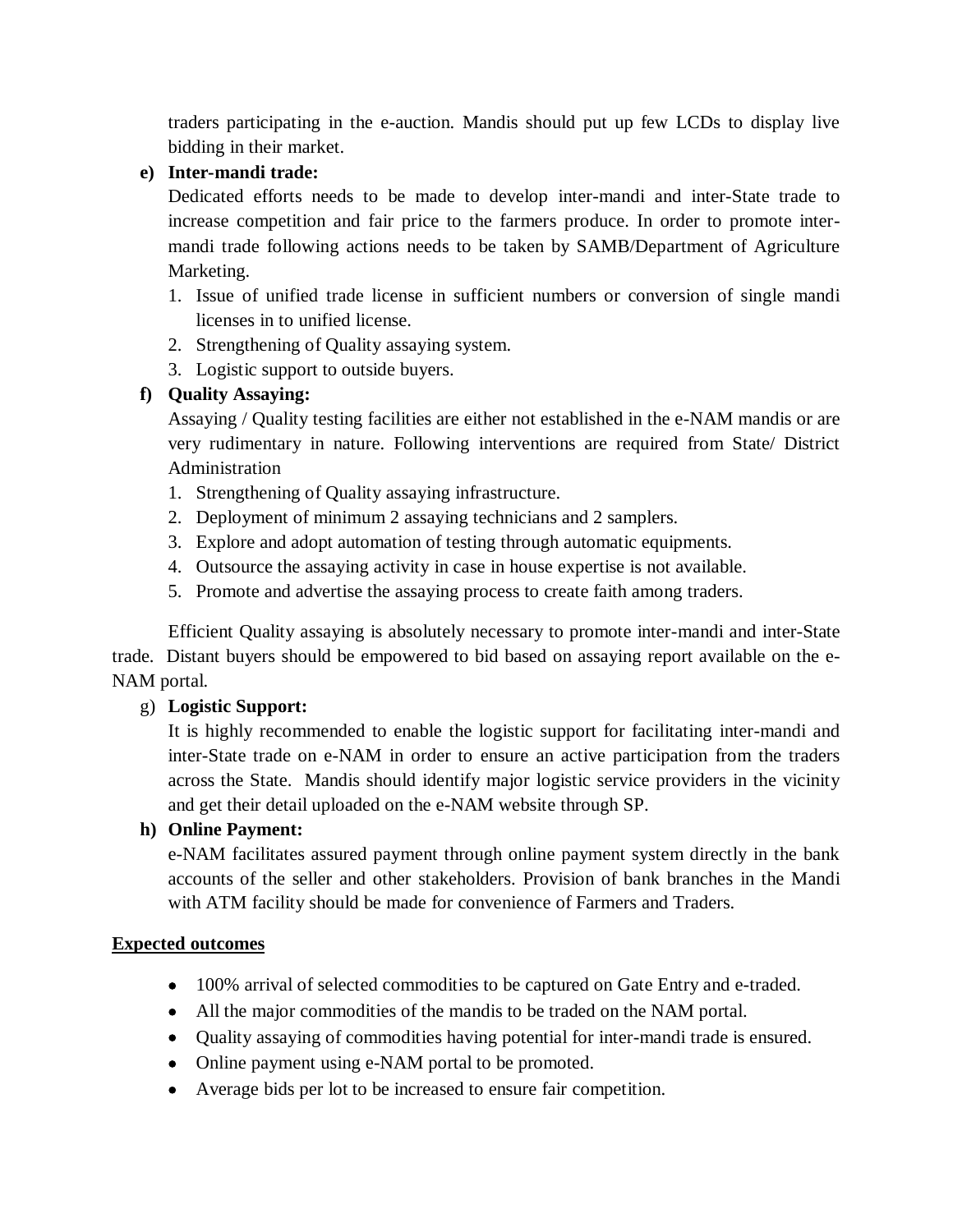traders participating in the e-auction. Mandis should put up few LCDs to display live bidding in their market.

## **e) Inter-mandi trade:**

Dedicated efforts needs to be made to develop inter-mandi and inter-State trade to increase competition and fair price to the farmers produce. In order to promote intermandi trade following actions needs to be taken by SAMB/Department of Agriculture Marketing.

- 1. Issue of unified trade license in sufficient numbers or conversion of single mandi licenses in to unified license.
- 2. Strengthening of Quality assaying system.
- 3. Logistic support to outside buyers.

# **f) Quality Assaying:**

Assaying / Quality testing facilities are either not established in the e-NAM mandis or are very rudimentary in nature. Following interventions are required from State/ District Administration

- 1. Strengthening of Quality assaying infrastructure.
- 2. Deployment of minimum 2 assaying technicians and 2 samplers.
- 3. Explore and adopt automation of testing through automatic equipments.
- 4. Outsource the assaying activity in case in house expertise is not available.
- 5. Promote and advertise the assaying process to create faith among traders.

 Efficient Quality assaying is absolutely necessary to promote inter-mandi and inter-State trade. Distant buyers should be empowered to bid based on assaying report available on the e-NAM portal.

### g) **Logistic Support:**

It is highly recommended to enable the logistic support for facilitating inter-mandi and inter-State trade on e-NAM in order to ensure an active participation from the traders across the State. Mandis should identify major logistic service providers in the vicinity and get their detail uploaded on the e-NAM website through SP.

# **h) Online Payment:**

e-NAM facilitates assured payment through online payment system directly in the bank accounts of the seller and other stakeholders. Provision of bank branches in the Mandi with ATM facility should be made for convenience of Farmers and Traders.

### **Expected outcomes**

- 100% arrival of selected commodities to be captured on Gate Entry and e-traded.
- All the major commodities of the mandis to be traded on the NAM portal.
- Quality assaying of commodities having potential for inter-mandi trade is ensured.
- Online payment using e-NAM portal to be promoted.
- Average bids per lot to be increased to ensure fair competition.